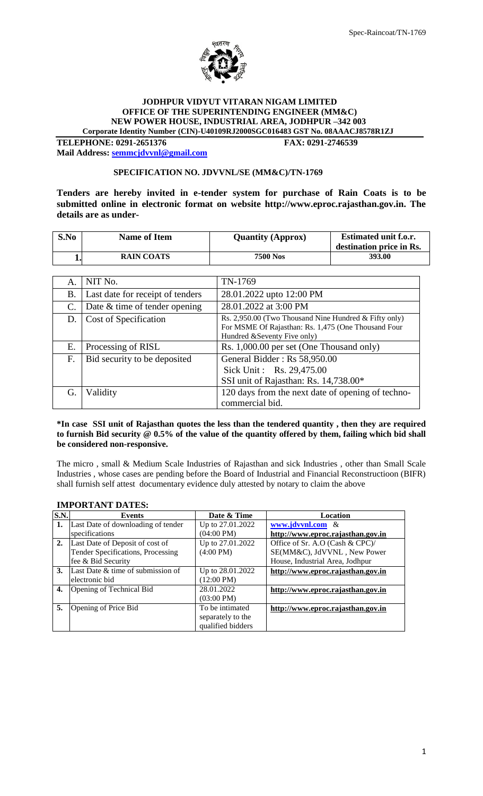

#### **JODHPUR VIDYUT VITARAN NIGAM LIMITED OFFICE OF THE SUPERINTENDING ENGINEER (MM&C) NEW POWER HOUSE, INDUSTRIAL AREA, JODHPUR –342 003 Corporate Identity Number (CIN)-U40109RJ2000SGC016483 GST No. 08AAACJ8578R1ZJ**

**TELEPHONE: 0291-2651376 FAX: 0291-2746539 Mail Address[: semmcjdvvnl@gmail.com](mailto:semmcjdvvnl@gmail.com)**

#### **SPECIFICATION NO. JDVVNL/SE (MM&C)/TN-1769**

**Tenders are hereby invited in e-tender system for purchase of Rain Coats is to be submitted online in electronic format on website http://www.eproc.rajasthan.gov.in. The details are as under-**

| S.No | <b>Name of Item</b> | <b>Quantity (Approx)</b> | <b>Estimated unit f.o.r.</b><br>destination price in Rs. |
|------|---------------------|--------------------------|----------------------------------------------------------|
|      | <b>RAIN COATS</b>   | 7500 Nos                 | 393.00                                                   |

| А.             | NIT No.                          | TN-1769                                                                                                                                     |
|----------------|----------------------------------|---------------------------------------------------------------------------------------------------------------------------------------------|
| В.             | Last date for receipt of tenders | 28.01.2022 upto 12:00 PM                                                                                                                    |
| $\mathbf{C}$ . | Date & time of tender opening    | 28.01.2022 at 3:00 PM                                                                                                                       |
| D.             | Cost of Specification            | Rs. 2,950.00 (Two Thousand Nine Hundred & Fifty only)<br>For MSME Of Rajasthan: Rs. 1,475 (One Thousand Four<br>Hundred &Seventy Five only) |
| Е.             | Processing of RISL               | Rs. 1,000.00 per set (One Thousand only)                                                                                                    |
| F.             | Bid security to be deposited     | General Bidder: Rs 58,950.00<br>Sick Unit: Rs. 29,475.00<br>SSI unit of Rajasthan: Rs. 14,738.00*                                           |
| G.             | Validity                         | 120 days from the next date of opening of techno-<br>commercial bid.                                                                        |

#### **\*In case SSI unit of Rajasthan quotes the less than the tendered quantity , then they are required to furnish Bid security @ 0.5% of the value of the quantity offered by them, failing which bid shall be considered non-responsive.**

The micro , small & Medium Scale Industries of Rajasthan and sick Industries , other than Small Scale Industries , whose cases are pending before the Board of Industrial and Financial Reconstructioon (BIFR) shall furnish self attest documentary evidence duly attested by notary to claim the above

# **IMPORTANT DATES:**

| S.N. | <b>Events</b>                            | Date & Time          | Location                          |
|------|------------------------------------------|----------------------|-----------------------------------|
| 1.   | Last Date of downloading of tender       | Up to 27.01.2022     | www.jdvvnl.com &                  |
|      | specifications                           | $(04:00 \text{ PM})$ | http://www.eproc.rajasthan.gov.in |
| 2.   | Last Date of Deposit of cost of          | Up to 27.01.2022     | Office of Sr. A.O (Cash & CPC)/   |
|      | <b>Tender Specifications, Processing</b> | $(4:00 \text{ PM})$  | SE(MM&C), JdVVNL, New Power       |
|      | fee & Bid Security                       |                      | House, Industrial Area, Jodhpur   |
| 3.   | Last Date & time of submission of        | Up to 28.01.2022     | http://www.eproc.rajasthan.gov.in |
|      | electronic bid                           | $(12:00 \text{ PM})$ |                                   |
| 4.   | Opening of Technical Bid                 | 28.01.2022           | http://www.eproc.rajasthan.gov.in |
|      |                                          | $(03:00 \text{ PM})$ |                                   |
| 5.   | Opening of Price Bid                     | To be intimated      | http://www.eproc.rajasthan.gov.in |
|      |                                          | separately to the    |                                   |
|      |                                          | qualified bidders    |                                   |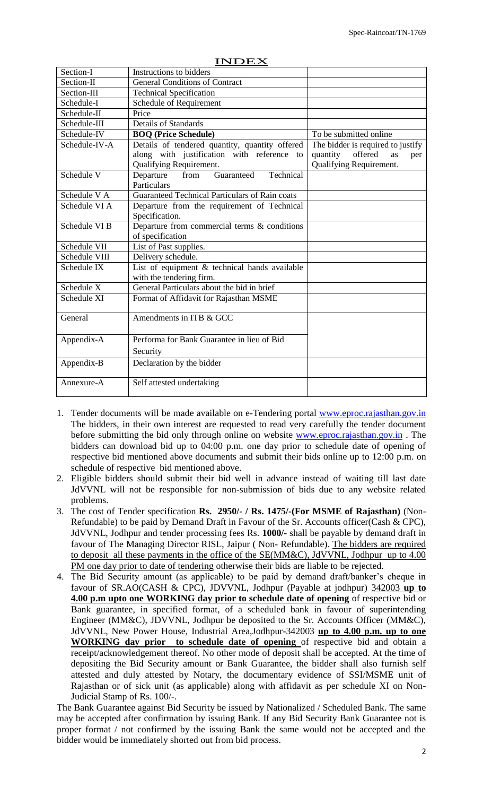| Section-I                | Instructions to bidders                                                   |                                                             |
|--------------------------|---------------------------------------------------------------------------|-------------------------------------------------------------|
| Section-II               | <b>General Conditions of Contract</b>                                     |                                                             |
| Section-III              | <b>Technical Specification</b>                                            |                                                             |
| Schedule-I               | Schedule of Requirement                                                   |                                                             |
| Schedule-II              | Price                                                                     |                                                             |
| Schedule-III             | <b>Details of Standards</b>                                               |                                                             |
| Schedule-IV              | <b>BOO</b> (Price Schedule)                                               | To be submitted online                                      |
| Schedule-IV-A            | Details of tendered quantity, quantity offered                            | The bidder is required to justify                           |
|                          | along with justification with reference to<br>Qualifying Requirement.     | offered<br>quantity<br>as<br>per<br>Qualifying Requirement. |
| Schedule V               | Technical<br>Guaranteed<br>Departure<br>from<br>Particulars               |                                                             |
| Schedule V A             | Guaranteed Technical Particulars of Rain coats                            |                                                             |
| Schedule VI A            | Departure from the requirement of Technical<br>Specification.             |                                                             |
| Schedule VI <sub>B</sub> | Departure from commercial terms & conditions<br>of specification          |                                                             |
| Schedule VII             | List of Past supplies.                                                    |                                                             |
| Schedule VIII            | Delivery schedule.                                                        |                                                             |
| Schedule IX              | List of equipment & technical hands available<br>with the tendering firm. |                                                             |
| Schedule X               | General Particulars about the bid in brief                                |                                                             |
| Schedule XI              | Format of Affidavit for Rajasthan MSME                                    |                                                             |
| General                  | Amendments in ITB & GCC                                                   |                                                             |
| Appendix-A               | Performa for Bank Guarantee in lieu of Bid                                |                                                             |
|                          | Security                                                                  |                                                             |
| Appendix-B               | Declaration by the bidder                                                 |                                                             |
| Annexure-A               | Self attested undertaking                                                 |                                                             |

#### INDEX

- 1. Tender documents will be made available on e-Tendering portal www.eproc.rajasthan.gov.in The bidders, in their own interest are requested to read very carefully the tender document before submitting the bid only through online on website [www.eproc.rajasthan.gov.in](http://www.eproc.rajasthan.gov.in/) . The bidders can download bid up to 04:00 p.m. one day prior to schedule date of opening of respective bid mentioned above documents and submit their bids online up to 12:00 p.m. on schedule of respective bid mentioned above.
- 2. Eligible bidders should submit their bid well in advance instead of waiting till last date JdVVNL will not be responsible for non-submission of bids due to any website related problems.
- 3. The cost of Tender specification **Rs. 2950/- / Rs. 1475/-(For MSME of Rajasthan)** (Non-Refundable) to be paid by Demand Draft in Favour of the Sr. Accounts officer(Cash & CPC), JdVVNL, Jodhpur and tender processing fees Rs. **1000/-** shall be payable by demand draft in favour of The Managing Director RISL, Jaipur ( Non- Refundable). The bidders are required to deposit all these payments in the office of the SE(MM&C), JdVVNL, Jodhpur up to 4.00 PM one day prior to date of tendering otherwise their bids are liable to be rejected.
- 4. The Bid Security amount (as applicable) to be paid by demand draft/banker's cheque in favour of SR.AO(CASH & CPC), JDVVNL, Jodhpur (Payable at jodhpur) 342003 **up to 4.00 p.m upto one WORKING day prior to schedule date of opening** of respective bid or Bank guarantee, in specified format, of a scheduled bank in favour of superintending Engineer (MM&C), JDVVNL, Jodhpur be deposited to the Sr. Accounts Officer (MM&C), JdVVNL, New Power House, Industrial Area,Jodhpur-342003 **up to 4.00 p.m. up to one WORKING day prior to schedule date of opening** of respective bid and obtain a receipt/acknowledgement thereof. No other mode of deposit shall be accepted. At the time of depositing the Bid Security amount or Bank Guarantee, the bidder shall also furnish self attested and duly attested by Notary, the documentary evidence of SSI/MSME unit of Rajasthan or of sick unit (as applicable) along with affidavit as per schedule XI on Non-Judicial Stamp of Rs. 100/-.

The Bank Guarantee against Bid Security be issued by Nationalized / Scheduled Bank. The same may be accepted after confirmation by issuing Bank. If any Bid Security Bank Guarantee not is proper format / not confirmed by the issuing Bank the same would not be accepted and the bidder would be immediately shorted out from bid process.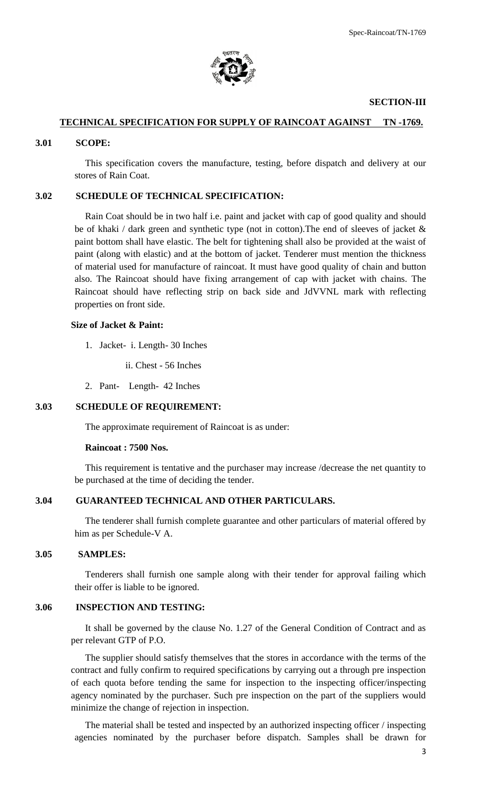

#### **SECTION-III**

# **TECHNICAL SPECIFICATION FOR SUPPLY OF RAINCOAT AGAINST TN -1769.**

#### **3.01 SCOPE:**

This specification covers the manufacture, testing, before dispatch and delivery at our stores of Rain Coat.

## **3.02 SCHEDULE OF TECHNICAL SPECIFICATION:**

Rain Coat should be in two half i.e. paint and jacket with cap of good quality and should be of khaki / dark green and synthetic type (not in cotton).The end of sleeves of jacket & paint bottom shall have elastic. The belt for tightening shall also be provided at the waist of paint (along with elastic) and at the bottom of jacket. Tenderer must mention the thickness of material used for manufacture of raincoat. It must have good quality of chain and button also. The Raincoat should have fixing arrangement of cap with jacket with chains. The Raincoat should have reflecting strip on back side and JdVVNL mark with reflecting properties on front side.

#### **Size of Jacket & Paint:**

- 1. Jacket- i. Length- 30 Inches
	- ii. Chest 56 Inches
- 2. Pant- Length- 42 Inches

#### **3.03 SCHEDULE OF REQUIREMENT:**

The approximate requirement of Raincoat is as under:

#### **Raincoat : 7500 Nos.**

This requirement is tentative and the purchaser may increase /decrease the net quantity to be purchased at the time of deciding the tender.

#### **3.04 GUARANTEED TECHNICAL AND OTHER PARTICULARS.**

The tenderer shall furnish complete guarantee and other particulars of material offered by him as per Schedule-V A.

#### **3.05 SAMPLES:**

Tenderers shall furnish one sample along with their tender for approval failing which their offer is liable to be ignored.

#### **3.06 INSPECTION AND TESTING:**

It shall be governed by the clause No. 1.27 of the General Condition of Contract and as per relevant GTP of P.O.

The supplier should satisfy themselves that the stores in accordance with the terms of the contract and fully confirm to required specifications by carrying out a through pre inspection of each quota before tending the same for inspection to the inspecting officer/inspecting agency nominated by the purchaser. Such pre inspection on the part of the suppliers would minimize the change of rejection in inspection.

The material shall be tested and inspected by an authorized inspecting officer / inspecting agencies nominated by the purchaser before dispatch. Samples shall be drawn for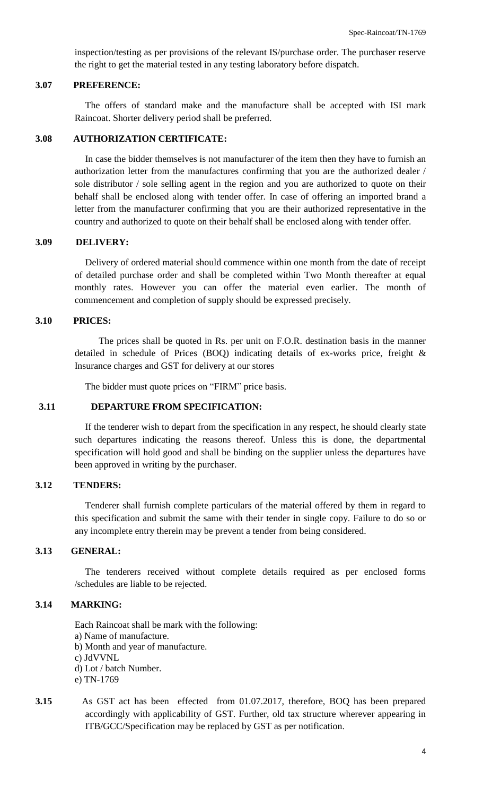inspection/testing as per provisions of the relevant IS/purchase order. The purchaser reserve the right to get the material tested in any testing laboratory before dispatch.

#### **3.07 PREFERENCE:**

The offers of standard make and the manufacture shall be accepted with ISI mark Raincoat. Shorter delivery period shall be preferred.

#### **3.08 AUTHORIZATION CERTIFICATE:**

In case the bidder themselves is not manufacturer of the item then they have to furnish an authorization letter from the manufactures confirming that you are the authorized dealer / sole distributor / sole selling agent in the region and you are authorized to quote on their behalf shall be enclosed along with tender offer. In case of offering an imported brand a letter from the manufacturer confirming that you are their authorized representative in the country and authorized to quote on their behalf shall be enclosed along with tender offer.

# **3.09 DELIVERY:**

Delivery of ordered material should commence within one month from the date of receipt of detailed purchase order and shall be completed within Two Month thereafter at equal monthly rates. However you can offer the material even earlier. The month of commencement and completion of supply should be expressed precisely.

#### **3.10 PRICES:**

The prices shall be quoted in Rs. per unit on F.O.R. destination basis in the manner detailed in schedule of Prices (BOQ) indicating details of ex-works price, freight & Insurance charges and GST for delivery at our stores

The bidder must quote prices on "FIRM" price basis.

## **3.11 DEPARTURE FROM SPECIFICATION:**

If the tenderer wish to depart from the specification in any respect, he should clearly state such departures indicating the reasons thereof. Unless this is done, the departmental specification will hold good and shall be binding on the supplier unless the departures have been approved in writing by the purchaser.

#### **3.12 TENDERS:**

Tenderer shall furnish complete particulars of the material offered by them in regard to this specification and submit the same with their tender in single copy. Failure to do so or any incomplete entry therein may be prevent a tender from being considered.

#### **3.13 GENERAL:**

The tenderers received without complete details required as per enclosed forms /schedules are liable to be rejected.

#### **3.14 MARKING:**

Each Raincoat shall be mark with the following: a) Name of manufacture. b) Month and year of manufacture. c) JdVVNL d) Lot / batch Number. e) TN-1769

**3.15** As GST act has been effected from 01.07.2017, therefore, BOQ has been prepared accordingly with applicability of GST. Further, old tax structure wherever appearing in ITB/GCC/Specification may be replaced by GST as per notification.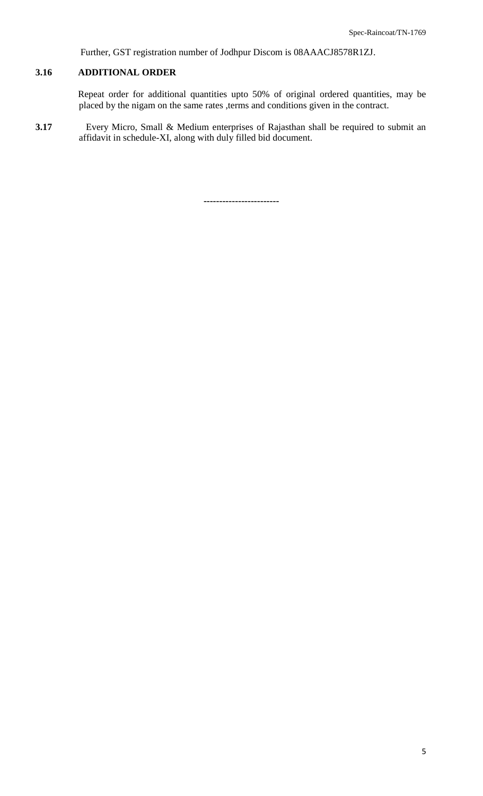Further, GST registration number of Jodhpur Discom is 08AAACJ8578R1ZJ.

# **3.16 ADDITIONAL ORDER**

Repeat order for additional quantities upto 50% of original ordered quantities, may be placed by the nigam on the same rates ,terms and conditions given in the contract.

**3.17** Every Micro, Small & Medium enterprises of Rajasthan shall be required to submit an affidavit in schedule-XI, along with duly filled bid document.

**------------------------**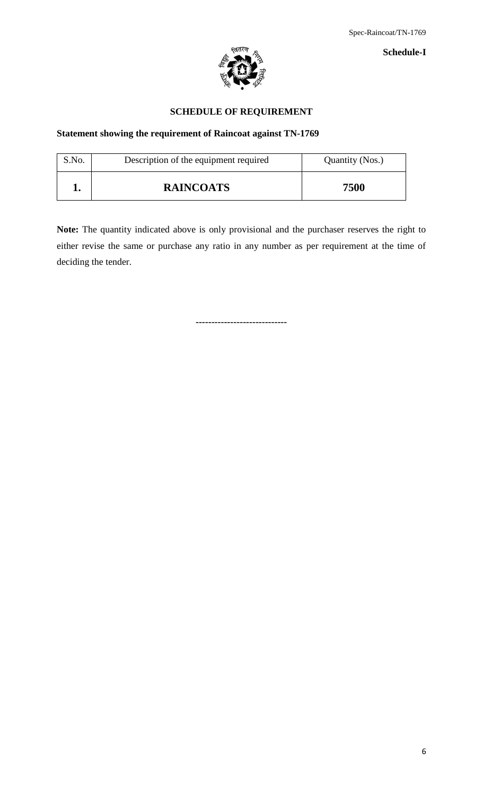

**Schedule-I**

# **SCHEDULE OF REQUIREMENT**

# **Statement showing the requirement of Raincoat against TN-1769**

| S.No. | Description of the equipment required | Quantity (Nos.) |
|-------|---------------------------------------|-----------------|
|       | <b>RAINCOATS</b>                      | 7500            |

**Note:** The quantity indicated above is only provisional and the purchaser reserves the right to either revise the same or purchase any ratio in any number as per requirement at the time of deciding the tender.

**-----------------------------**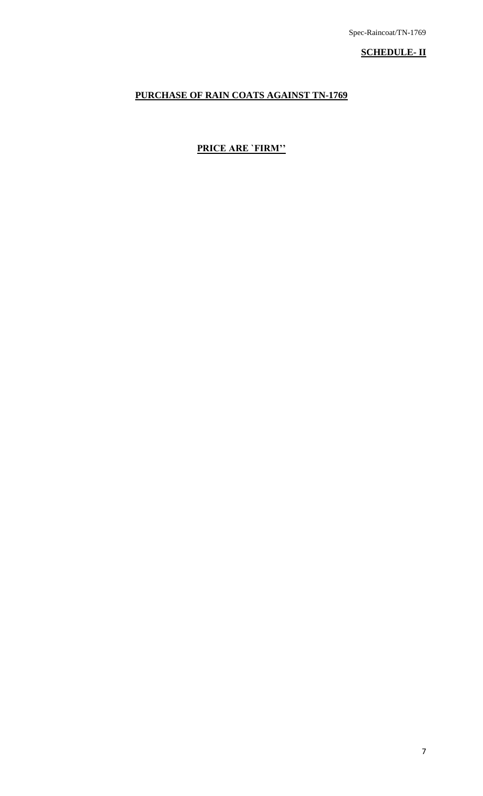**SCHEDULE- II**

# **PURCHASE OF RAIN COATS AGAINST TN-1769**

# **PRICE ARE `FIRM''**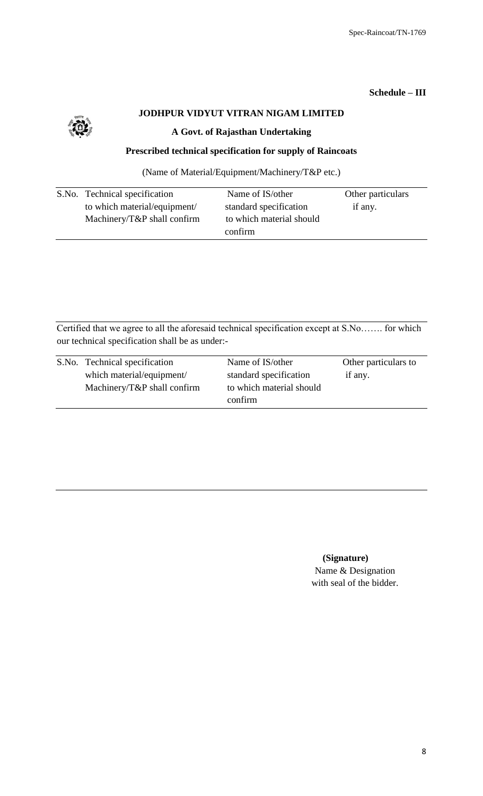# **Schedule – III**



# **JODHPUR VIDYUT VITRAN NIGAM LIMITED**

# **A Govt. of Rajasthan Undertaking**

# **Prescribed technical specification for supply of Raincoats**

(Name of Material/Equipment/Machinery/T&P etc.)

| S.No. Technical specification   | Name of IS/other         | Other particulars |
|---------------------------------|--------------------------|-------------------|
| to which material/equipment/    | standard specification   | if any.           |
| Machinery/ $T\&P$ shall confirm | to which material should |                   |
|                                 | confirm                  |                   |

Certified that we agree to all the aforesaid technical specification except at S.No……. for which our technical specification shall be as under:-

| S.No. Technical specification   | Name of IS/other         | Other particulars to |
|---------------------------------|--------------------------|----------------------|
| which material/equipment/       | standard specification   | if any.              |
| Machinery/ $T\&P$ shall confirm | to which material should |                      |
|                                 | confirm                  |                      |

# **(Signature)**

Name & Designation with seal of the bidder.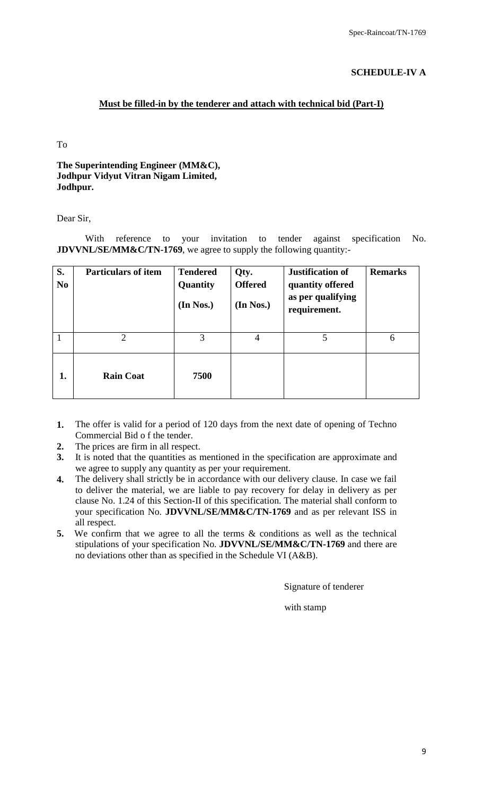# **SCHEDULE-IV A**

# **Must be filled-in by the tenderer and attach with technical bid (Part-I)**

To

# **The Superintending Engineer (MM&C), Jodhpur Vidyut Vitran Nigam Limited, Jodhpur.**

Dear Sir,

With reference to your invitation to tender against specification No. **JDVVNL/SE/MM&C/TN-1769**, we agree to supply the following quantity:-

| S.<br>N <sub>0</sub> | <b>Particulars of item</b> | <b>Tendered</b><br>Quantity<br>(In Nos.) | Qty.<br><b>Offered</b><br>(In Nos.) | <b>Justification of</b><br>quantity offered<br>as per qualifying<br>requirement. | <b>Remarks</b> |
|----------------------|----------------------------|------------------------------------------|-------------------------------------|----------------------------------------------------------------------------------|----------------|
| $\mathbf{1}$         | $\overline{2}$             | 3                                        | $\overline{4}$                      | 5                                                                                | 6              |
| 1.                   | <b>Rain Coat</b>           | 7500                                     |                                     |                                                                                  |                |

- **1.** The offer is valid for a period of 120 days from the next date of opening of Techno Commercial Bid o f the tender.
- **2.** The prices are firm in all respect.
- **3.** It is noted that the quantities as mentioned in the specification are approximate and we agree to supply any quantity as per your requirement.
- **4.** The delivery shall strictly be in accordance with our delivery clause. In case we fail to deliver the material, we are liable to pay recovery for delay in delivery as per clause No. 1.24 of this Section-II of this specification. The material shall conform to your specification No. **JDVVNL/SE/MM&C/TN-1769** and as per relevant ISS in all respect.
- **5.** We confirm that we agree to all the terms  $\&$  conditions as well as the technical stipulations of your specification No. **JDVVNL/SE/MM&C/TN-1769** and there are no deviations other than as specified in the Schedule VI (A&B).

Signature of tenderer

with stamp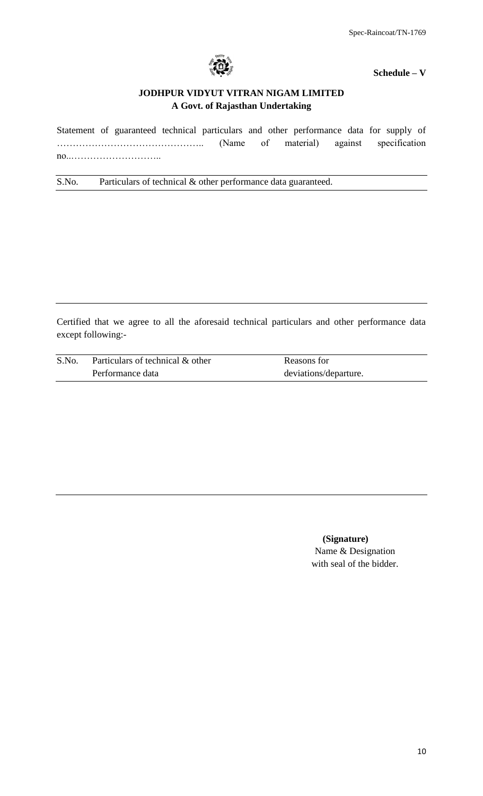

**Schedule – V**

# **JODHPUR VIDYUT VITRAN NIGAM LIMITED A Govt. of Rajasthan Undertaking**

Statement of guaranteed technical particulars and other performance data for supply of ……………………………………….. (Name of material) against specification no..………………………..

S.No. Particulars of technical & other performance data guaranteed.

Certified that we agree to all the aforesaid technical particulars and other performance data except following:-

| S.No. | Particulars of technical & other | Reasons for           |
|-------|----------------------------------|-----------------------|
|       | Performance data                 | deviations/departure. |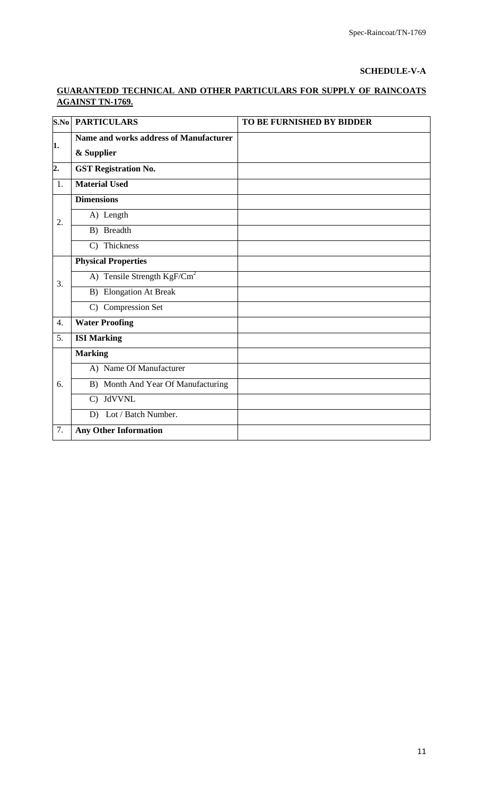# **SCHEDULE-V-A**

# **GUARANTEDD TECHNICAL AND OTHER PARTICULARS FOR SUPPLY OF RAINCOATS AGAINST TN-1769.**

| S.No             | <b>PARTICULARS</b>                            | TO BE FURNISHED BY BIDDER |
|------------------|-----------------------------------------------|---------------------------|
| 1.               | <b>Name and works address of Manufacturer</b> |                           |
|                  | & Supplier                                    |                           |
| $\overline{2}$ . | <b>GST Registration No.</b>                   |                           |
| 1.               | <b>Material Used</b>                          |                           |
|                  | <b>Dimensions</b>                             |                           |
| 2.               | A) Length                                     |                           |
|                  | $\overline{B}$ ) Breadth                      |                           |
|                  | C) Thickness                                  |                           |
|                  | <b>Physical Properties</b>                    |                           |
| 3.               | A) Tensile Strength $KgF/Cm^2$                |                           |
|                  | <b>B</b> ) Elongation At Break                |                           |
|                  | C) Compression Set                            |                           |
| $\overline{4}$ . | <b>Water Proofing</b>                         |                           |
| 5.               | <b>ISI Marking</b>                            |                           |
|                  | <b>Marking</b>                                |                           |
|                  | A) Name Of Manufacturer                       |                           |
| 6.               | B) Month And Year Of Manufacturing            |                           |
|                  | C) JdVVNL                                     |                           |
|                  | Lot / Batch Number.<br>D)                     |                           |
| 7.               | <b>Any Other Information</b>                  |                           |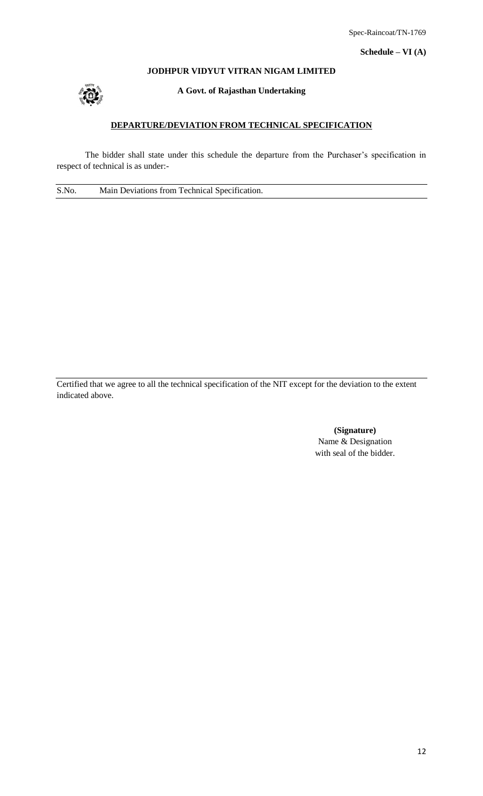## **JODHPUR VIDYUT VITRAN NIGAM LIMITED**



**A Govt. of Rajasthan Undertaking**

# **DEPARTURE/DEVIATION FROM TECHNICAL SPECIFICATION**

The bidder shall state under this schedule the departure from the Purchaser's specification in respect of technical is as under:-

S.No. Main Deviations from Technical Specification.

Certified that we agree to all the technical specification of the NIT except for the deviation to the extent indicated above.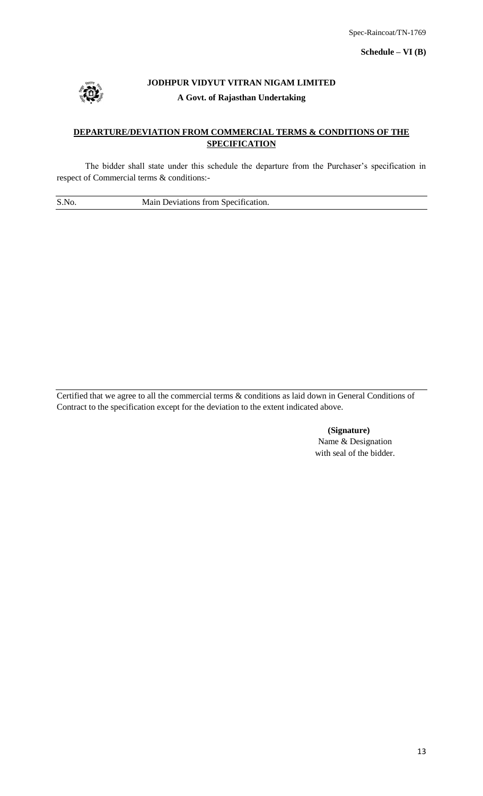

# **JODHPUR VIDYUT VITRAN NIGAM LIMITED A Govt. of Rajasthan Undertaking**

# **DEPARTURE/DEVIATION FROM COMMERCIAL TERMS & CONDITIONS OF THE SPECIFICATION**

The bidder shall state under this schedule the departure from the Purchaser's specification in respect of Commercial terms & conditions:-

S.No. Main Deviations from Specification.

Certified that we agree to all the commercial terms & conditions as laid down in General Conditions of Contract to the specification except for the deviation to the extent indicated above.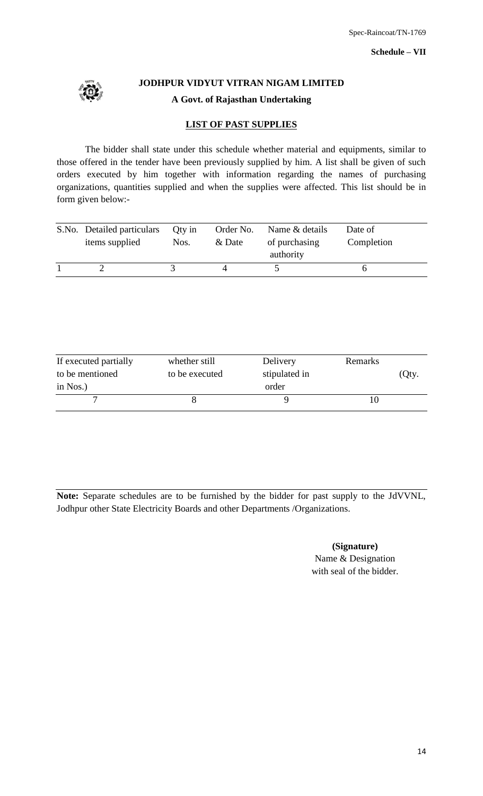

**JODHPUR VIDYUT VITRAN NIGAM LIMITED A Govt. of Rajasthan Undertaking**

# **LIST OF PAST SUPPLIES**

The bidder shall state under this schedule whether material and equipments, similar to those offered in the tender have been previously supplied by him. A list shall be given of such orders executed by him together with information regarding the names of purchasing organizations, quantities supplied and when the supplies were affected. This list should be in form given below:-

| S.No. Detailed particulars<br>items supplied | Qty in<br>Nos. | Order No.<br>& Date | Name & details<br>of purchasing<br>authority | Date of<br>Completion |
|----------------------------------------------|----------------|---------------------|----------------------------------------------|-----------------------|
|                                              |                |                     |                                              |                       |

| If executed partially | whether still  | Delivery      | Remarks |       |
|-----------------------|----------------|---------------|---------|-------|
| to be mentioned       | to be executed | stipulated in |         | (Qty. |
| in $N$ os.)           |                | order         |         |       |
|                       |                |               |         |       |

**Note:** Separate schedules are to be furnished by the bidder for past supply to the JdVVNL, Jodhpur other State Electricity Boards and other Departments /Organizations.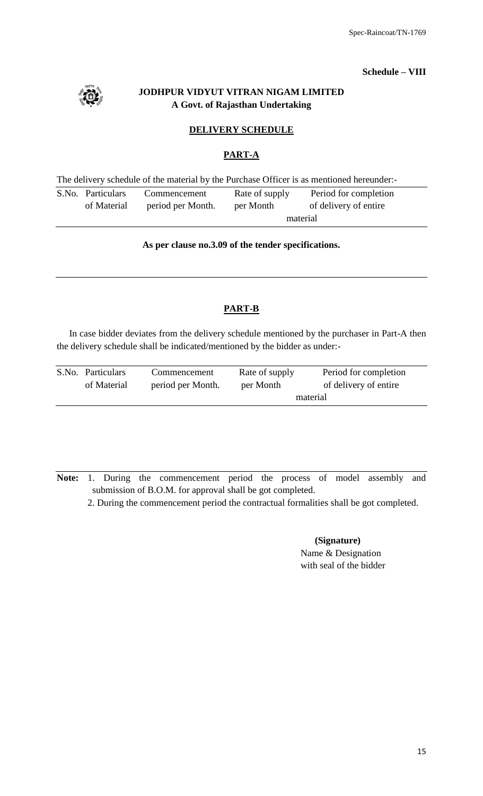# **Schedule – VIII**

# **JODHPUR VIDYUT VITRAN NIGAM LIMITED A Govt. of Rajasthan Undertaking**

# **DELIVERY SCHEDULE**

# **PART-A**

The delivery schedule of the material by the Purchase Officer is as mentioned hereunder:-

| S.No. Particulars | Commencement      | Rate of supply | Period for completion |
|-------------------|-------------------|----------------|-----------------------|
| of Material       | period per Month. | per Month      | of delivery of entire |
|                   | material          |                |                       |

# **As per clause no.3.09 of the tender specifications.**

# **PART-B**

In case bidder deviates from the delivery schedule mentioned by the purchaser in Part-A then the delivery schedule shall be indicated/mentioned by the bidder as under:-

| S.No. Particulars | Commencement      | Rate of supply | Period for completion |  |  |
|-------------------|-------------------|----------------|-----------------------|--|--|
| of Material       | period per Month. | per Month      | of delivery of entire |  |  |
|                   |                   | material       |                       |  |  |

**Note:** 1. During the commencement period the process of model assembly and submission of B.O.M. for approval shall be got completed.

2. During the commencement period the contractual formalities shall be got completed.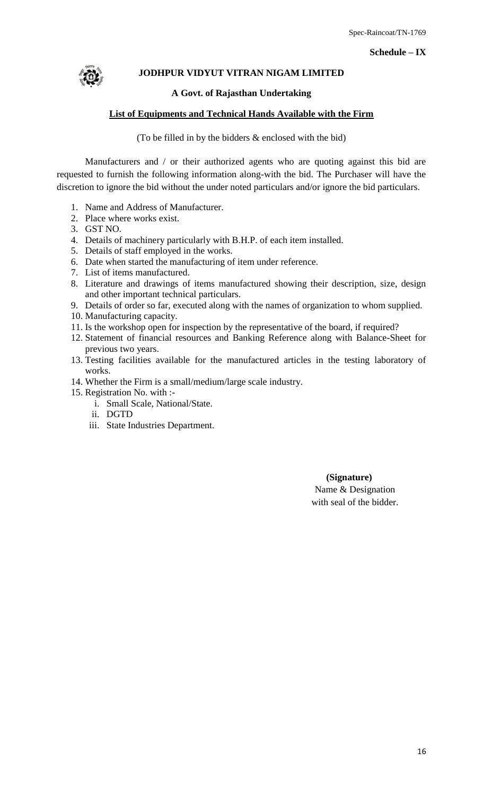## **Schedule – IX**



# **JODHPUR VIDYUT VITRAN NIGAM LIMITED**

# **A Govt. of Rajasthan Undertaking**

# **List of Equipments and Technical Hands Available with the Firm**

(To be filled in by the bidders & enclosed with the bid)

Manufacturers and / or their authorized agents who are quoting against this bid are requested to furnish the following information along-with the bid. The Purchaser will have the discretion to ignore the bid without the under noted particulars and/or ignore the bid particulars.

- 1. Name and Address of Manufacturer.
- 2. Place where works exist.
- 3. GST NO.
- 4. Details of machinery particularly with B.H.P. of each item installed.
- 5. Details of staff employed in the works.
- 6. Date when started the manufacturing of item under reference.
- 7. List of items manufactured.
- 8. Literature and drawings of items manufactured showing their description, size, design and other important technical particulars.
- 9. Details of order so far, executed along with the names of organization to whom supplied.
- 10. Manufacturing capacity.
- 11. Is the workshop open for inspection by the representative of the board, if required?
- 12. Statement of financial resources and Banking Reference along with Balance-Sheet for previous two years.
- 13. Testing facilities available for the manufactured articles in the testing laboratory of works.
- 14. Whether the Firm is a small/medium/large scale industry.
- 15. Registration No. with :
	- i. Small Scale, National/State.
	- ii. DGTD
	- iii. State Industries Department.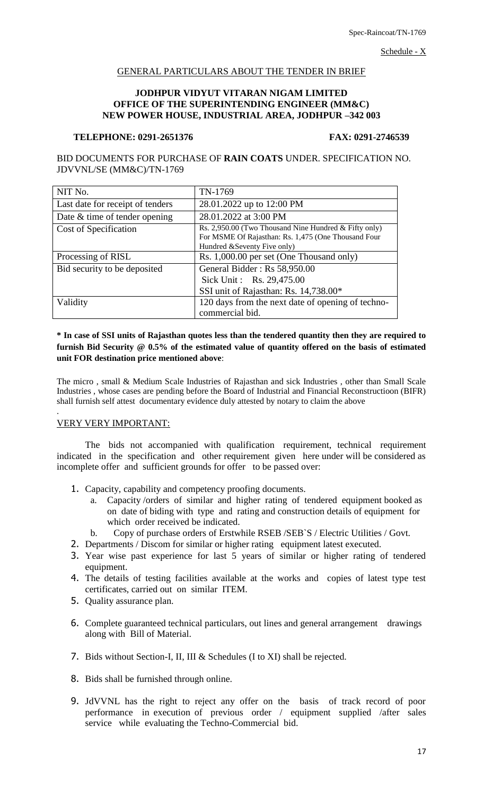Schedule - X

# GENERAL PARTICULARS ABOUT THE TENDER IN BRIEF

#### **JODHPUR VIDYUT VITARAN NIGAM LIMITED OFFICE OF THE SUPERINTENDING ENGINEER (MM&C) NEW POWER HOUSE, INDUSTRIAL AREA, JODHPUR –342 003**

#### **TELEPHONE: 0291-2651376 FAX: 0291-2746539**

BID DOCUMENTS FOR PURCHASE OF **RAIN COATS** UNDER. SPECIFICATION NO. JDVVNL/SE (MM&C)/TN-1769

| NIT No.                          | TN-1769                                                                                                                                         |
|----------------------------------|-------------------------------------------------------------------------------------------------------------------------------------------------|
| Last date for receipt of tenders | 28.01.2022 up to 12:00 PM                                                                                                                       |
| Date $&$ time of tender opening  | 28.01.2022 at 3:00 PM                                                                                                                           |
| Cost of Specification            | Rs. 2,950.00 (Two Thousand Nine Hundred $\&$ Fifty only)<br>For MSME Of Rajasthan: Rs. 1,475 (One Thousand Four<br>Hundred & Seventy Five only) |
| Processing of RISL               | Rs. 1,000.00 per set (One Thousand only)                                                                                                        |
| Bid security to be deposited     | General Bidder: Rs 58,950.00<br>Sick Unit: Rs. 29,475.00<br>SSI unit of Rajasthan: Rs. 14,738.00*                                               |
| Validity                         | 120 days from the next date of opening of techno-<br>commercial bid.                                                                            |

# **\* In case of SSI units of Rajasthan quotes less than the tendered quantity then they are required to furnish Bid Security @ 0.5% of the estimated value of quantity offered on the basis of estimated unit FOR destination price mentioned above**:

The micro , small & Medium Scale Industries of Rajasthan and sick Industries , other than Small Scale Industries , whose cases are pending before the Board of Industrial and Financial Reconstructioon (BIFR) shall furnish self attest documentary evidence duly attested by notary to claim the above

## VERY VERY IMPORTANT:

.

The bids not accompanied with qualification requirement, technical requirement indicated in the specification and other requirement given here under will be considered as incomplete offer and sufficient grounds for offer to be passed over:

- 1. Capacity, capability and competency proofing documents.
	- a. Capacity /orders of similar and higher rating of tendered equipment booked as on date of biding with type and rating and construction details of equipment for which order received be indicated.
	- b. Copy of purchase orders of Erstwhile RSEB /SEB`S / Electric Utilities / Govt.
- 2. Departments / Discom for similar or higher rating equipment latest executed.
- 3. Year wise past experience for last 5 years of similar or higher rating of tendered equipment.
- 4. The details of testing facilities available at the works and copies of latest type test certificates, carried out on similar ITEM.
- 5. Quality assurance plan.
- 6. Complete guaranteed technical particulars, out lines and general arrangement drawings along with Bill of Material.
- 7. Bids without Section-I, II, III & Schedules (I to XI) shall be rejected.
- 8. Bids shall be furnished through online.
- 9. JdVVNL has the right to reject any offer on the basis of track record of poor performance in execution of previous order / equipment supplied /after sales service while evaluating the Techno-Commercial bid.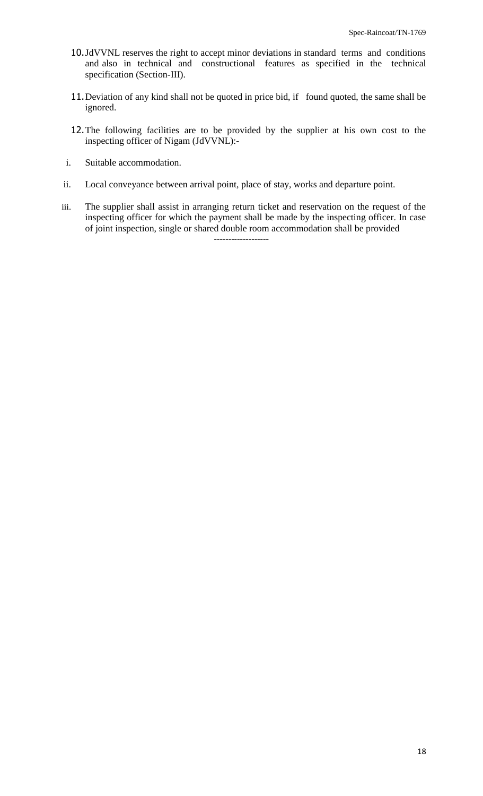- 10.JdVVNL reserves the right to accept minor deviations in standard terms and conditions and also in technical and constructional features as specified in the technical specification (Section-III).
- 11. Deviation of any kind shall not be quoted in price bid, if found quoted, the same shall be ignored.
- 12.The following facilities are to be provided by the supplier at his own cost to the inspecting officer of Nigam (JdVVNL):-
- i. Suitable accommodation.
- ii. Local conveyance between arrival point, place of stay, works and departure point.
- iii. The supplier shall assist in arranging return ticket and reservation on the request of the inspecting officer for which the payment shall be made by the inspecting officer. In case of joint inspection, single or shared double room accommodation shall be provided -------------------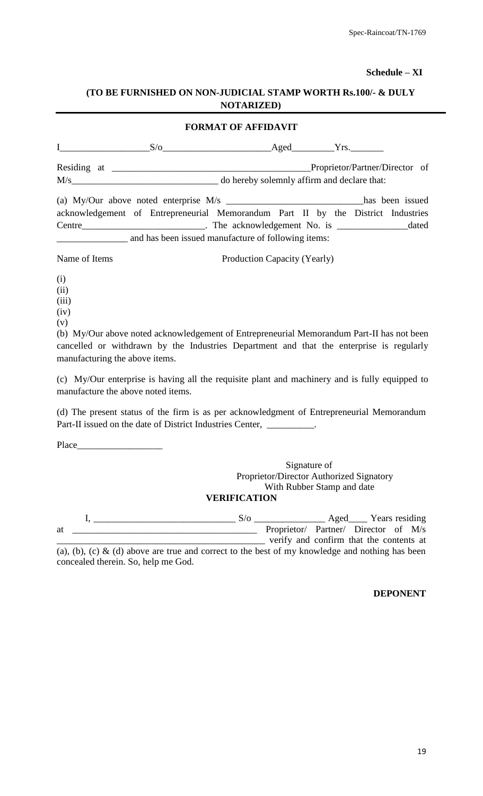## **Schedule – XI**

# **(TO BE FURNISHED ON NON-JUDICIAL STAMP WORTH Rs.100/- & DULY NOTARIZED)**

| <b>FORMAT OF AFFIDAVIT</b>                                                       |                                                     |                              |  |  |  |  |  |
|----------------------------------------------------------------------------------|-----------------------------------------------------|------------------------------|--|--|--|--|--|
| $\mathbf{I}$ and $\mathbf{I}$ and $\mathbf{I}$ and $\mathbf{I}$                  |                                                     | $S/O$ Aged $Yrs$ .           |  |  |  |  |  |
|                                                                                  | Proprietor/Partner/Director of                      |                              |  |  |  |  |  |
|                                                                                  |                                                     |                              |  |  |  |  |  |
| acknowledgement of Entrepreneurial Memorandum Part II by the District Industries |                                                     |                              |  |  |  |  |  |
|                                                                                  |                                                     |                              |  |  |  |  |  |
|                                                                                  | and has been issued manufacture of following items: |                              |  |  |  |  |  |
| Name of Items                                                                    |                                                     | Production Capacity (Yearly) |  |  |  |  |  |

- (i)
- (ii)
- (iii)
- (iv)
- (v)

(b) My/Our above noted acknowledgement of Entrepreneurial Memorandum Part-II has not been cancelled or withdrawn by the Industries Department and that the enterprise is regularly manufacturing the above items.

(c) My/Our enterprise is having all the requisite plant and machinery and is fully equipped to manufacture the above noted items.

(d) The present status of the firm is as per acknowledgment of Entrepreneurial Memorandum Part-II issued on the date of District Industries Center, \_\_\_\_\_\_\_\_\_\_\_\_\_\_\_\_\_\_\_\_\_\_

Place\_\_\_\_\_\_\_\_\_\_\_\_\_\_\_\_\_\_

Signature of Proprietor/Director Authorized Signatory With Rubber Stamp and date

# **VERIFICATION**

 $I, \underline{\hspace{1cm}}$   $S/O \underline{\hspace{1cm}}$  Aged\_\_\_\_ Years residing at \_\_\_\_\_\_\_\_\_\_\_\_\_\_\_\_\_\_\_\_\_\_\_\_\_\_\_\_\_\_\_\_\_\_\_\_\_\_\_ Proprietor/ Partner/ Director of M/s \_\_\_\_\_\_\_\_\_\_\_\_\_\_\_\_\_\_\_\_\_\_\_\_\_\_\_\_\_\_\_\_\_\_\_\_\_\_\_\_\_\_\_\_ verify and confirm that the contents at

(a), (b), (c)  $\&$  (d) above are true and correct to the best of my knowledge and nothing has been concealed therein. So, help me God.

# **DEPONENT**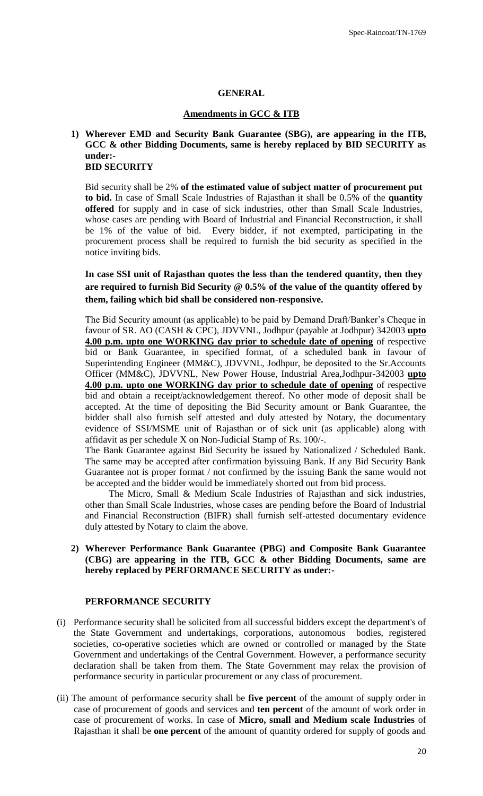#### **GENERAL**

#### **Amendments in GCC & ITB**

#### **1) Wherever EMD and Security Bank Guarantee (SBG), are appearing in the ITB, GCC & other Bidding Documents, same is hereby replaced by BID SECURITY as under:- BID SECURITY**

Bid security shall be 2% **of the estimated value of subject matter of procurement put to bid.** In case of Small Scale Industries of Rajasthan it shall be 0.5% of the **quantity offered** for supply and in case of sick industries, other than Small Scale Industries, whose cases are pending with Board of Industrial and Financial Reconstruction, it shall be 1% of the value of bid. Every bidder, if not exempted, participating in the procurement process shall be required to furnish the bid security as specified in the notice inviting bids.

**In case SSI unit of Rajasthan quotes the less than the tendered quantity, then they are required to furnish Bid Security @ 0.5% of the value of the quantity offered by them, failing which bid shall be considered non-responsive.** 

The Bid Security amount (as applicable) to be paid by Demand Draft/Banker"s Cheque in favour of SR. AO (CASH & CPC), JDVVNL, Jodhpur (payable at Jodhpur) 342003 **upto 4.00 p.m. upto one WORKING day prior to schedule date of opening** of respective bid or Bank Guarantee, in specified format, of a scheduled bank in favour of Superintending Engineer (MM&C), JDVVNL, Jodhpur, be deposited to the Sr.Accounts Officer (MM&C), JDVVNL, New Power House, Industrial Area,Jodhpur-342003 **upto 4.00 p.m. upto one WORKING day prior to schedule date of opening** of respective bid and obtain a receipt/acknowledgement thereof. No other mode of deposit shall be accepted. At the time of depositing the Bid Security amount or Bank Guarantee, the bidder shall also furnish self attested and duly attested by Notary, the documentary evidence of SSI/MSME unit of Rajasthan or of sick unit (as applicable) along with affidavit as per schedule X on Non-Judicial Stamp of Rs. 100/-.

The Bank Guarantee against Bid Security be issued by Nationalized / Scheduled Bank. The same may be accepted after confirmation byissuing Bank. If any Bid Security Bank Guarantee not is proper format / not confirmed by the issuing Bank the same would not be accepted and the bidder would be immediately shorted out from bid process.

 The Micro, Small & Medium Scale Industries of Rajasthan and sick industries, other than Small Scale Industries, whose cases are pending before the Board of Industrial and Financial Reconstruction (BIFR) shall furnish self-attested documentary evidence duly attested by Notary to claim the above.

**2) Wherever Performance Bank Guarantee (PBG) and Composite Bank Guarantee (CBG) are appearing in the ITB, GCC & other Bidding Documents, same are hereby replaced by PERFORMANCE SECURITY as under:-**

#### **PERFORMANCE SECURITY**

- (i) Performance security shall be solicited from all successful bidders except the department's of the State Government and undertakings, corporations, autonomous bodies, registered societies, co-operative societies which are owned or controlled or managed by the State Government and undertakings of the Central Government. However, a performance security declaration shall be taken from them. The State Government may relax the provision of performance security in particular procurement or any class of procurement.
- (ii) The amount of performance security shall be **five percent** of the amount of supply order in case of procurement of goods and services and **ten percent** of the amount of work order in case of procurement of works. In case of **Micro, small and Medium scale Industries** of Rajasthan it shall be **one percent** of the amount of quantity ordered for supply of goods and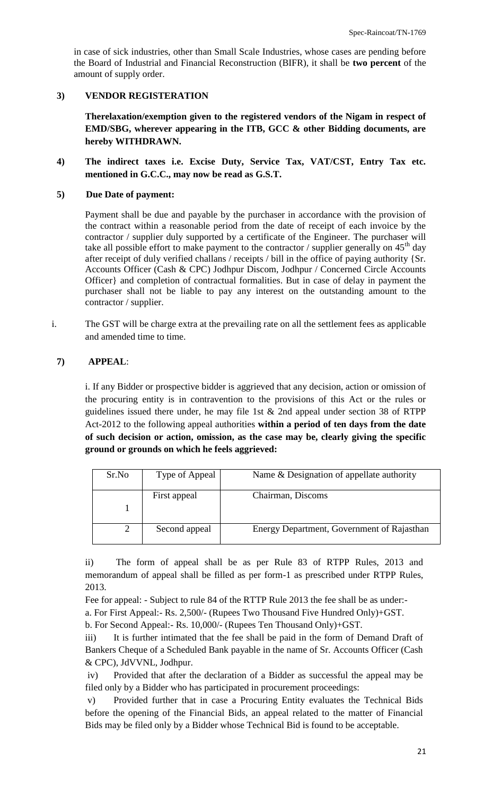in case of sick industries, other than Small Scale Industries, whose cases are pending before the Board of Industrial and Financial Reconstruction (BIFR), it shall be **two percent** of the amount of supply order.

# **3) VENDOR REGISTERATION**

**Therelaxation/exemption given to the registered vendors of the Nigam in respect of EMD/SBG, wherever appearing in the ITB, GCC & other Bidding documents, are hereby WITHDRAWN.**

**4) The indirect taxes i.e. Excise Duty, Service Tax, VAT/CST, Entry Tax etc. mentioned in G.C.C., may now be read as G.S.T.**

## **5) Due Date of payment:**

Payment shall be due and payable by the purchaser in accordance with the provision of the contract within a reasonable period from the date of receipt of each invoice by the contractor / supplier duly supported by a certificate of the Engineer. The purchaser will take all possible effort to make payment to the contractor / supplier generally on  $45<sup>th</sup>$  day after receipt of duly verified challans / receipts / bill in the office of paying authority {Sr. Accounts Officer (Cash & CPC) Jodhpur Discom, Jodhpur / Concerned Circle Accounts Officer} and completion of contractual formalities. But in case of delay in payment the purchaser shall not be liable to pay any interest on the outstanding amount to the contractor / supplier.

i. The GST will be charge extra at the prevailing rate on all the settlement fees as applicable and amended time to time.

# **7) APPEAL**:

i. If any Bidder or prospective bidder is aggrieved that any decision, action or omission of the procuring entity is in contravention to the provisions of this Act or the rules or guidelines issued there under, he may file 1st & 2nd appeal under section 38 of RTPP Act-2012 to the following appeal authorities **within a period of ten days from the date of such decision or action, omission, as the case may be, clearly giving the specific ground or grounds on which he feels aggrieved:** 

| Sr.No | Type of Appeal | Name & Designation of appellate authority  |
|-------|----------------|--------------------------------------------|
|       | First appeal   | Chairman, Discoms                          |
|       | Second appeal  | Energy Department, Government of Rajasthan |

ii) The form of appeal shall be as per Rule 83 of RTPP Rules, 2013 and memorandum of appeal shall be filled as per form-1 as prescribed under RTPP Rules, 2013.

Fee for appeal: - Subject to rule 84 of the RTTP Rule 2013 the fee shall be as under: a. For First Appeal:- Rs. 2,500/- (Rupees Two Thousand Five Hundred Only)+GST.

b. For Second Appeal:- Rs. 10,000/- (Rupees Ten Thousand Only)+GST.

iii) It is further intimated that the fee shall be paid in the form of Demand Draft of Bankers Cheque of a Scheduled Bank payable in the name of Sr. Accounts Officer (Cash & CPC), JdVVNL, Jodhpur.

iv) Provided that after the declaration of a Bidder as successful the appeal may be filed only by a Bidder who has participated in procurement proceedings:

v) Provided further that in case a Procuring Entity evaluates the Technical Bids before the opening of the Financial Bids, an appeal related to the matter of Financial Bids may be filed only by a Bidder whose Technical Bid is found to be acceptable.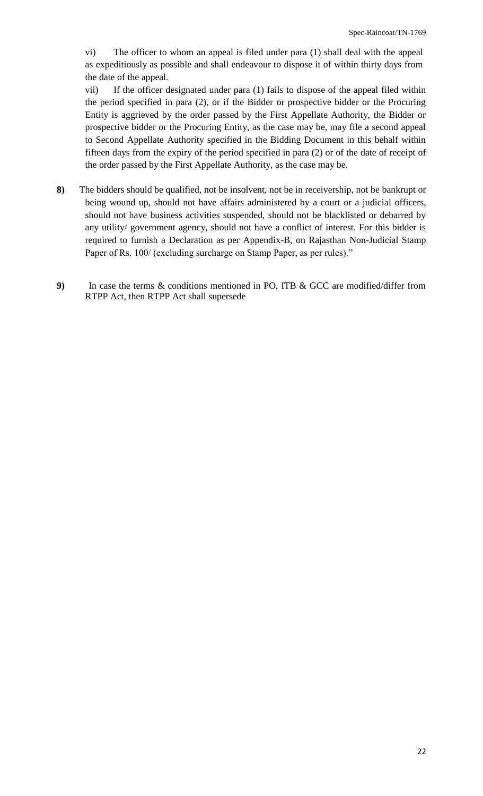vi) The officer to whom an appeal is filed under para (1) shall deal with the appeal as expeditiously as possible and shall endeavour to dispose it of within thirty days from the date of the appeal.

vii) If the officer designated under para (1) fails to dispose of the appeal filed within the period specified in para (2), or if the Bidder or prospective bidder or the Procuring Entity is aggrieved by the order passed by the First Appellate Authority, the Bidder or prospective bidder or the Procuring Entity, as the case may be, may file a second appeal to Second Appellate Authority specified in the Bidding Document in this behalf within fifteen days from the expiry of the period specified in para (2) or of the date of receipt of the order passed by the First Appellate Authority, as the case may be.

- **8)** The bidders should be qualified, not be insolvent, not be in receivership, not be bankrupt or being wound up, should not have affairs administered by a court or a judicial officers, should not have business activities suspended, should not be blacklisted or debarred by any utility/ government agency, should not have a conflict of interest. For this bidder is required to furnish a Declaration as per Appendix-B, on Rajasthan Non-Judicial Stamp Paper of Rs. 100/ (excluding surcharge on Stamp Paper, as per rules)."
- **9)** In case the terms & conditions mentioned in PO, ITB & GCC are modified/differ from RTPP Act, then RTPP Act shall supersede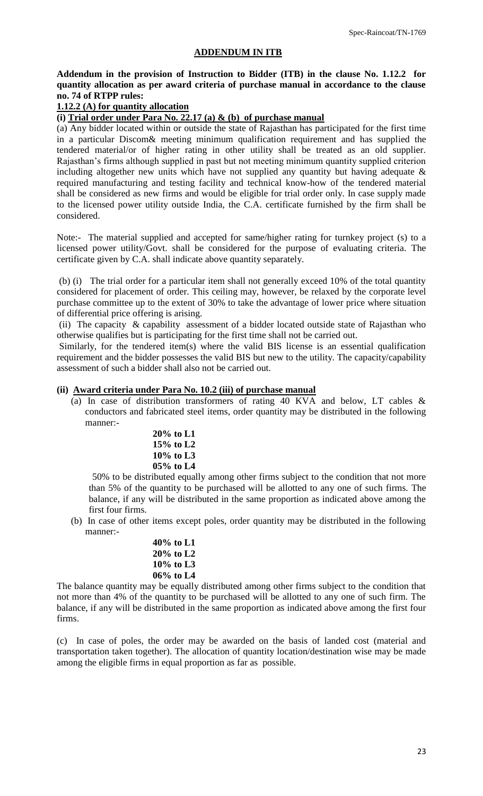## **ADDENDUM IN ITB**

**Addendum in the provision of Instruction to Bidder (ITB) in the clause No. 1.12.2 for quantity allocation as per award criteria of purchase manual in accordance to the clause no. 74 of RTPP rules:**

# **1.12.2 (A) for quantity allocation**

# **(i) Trial order under Para No. 22.17 (a) & (b) of purchase manual**

(a) Any bidder located within or outside the state of Rajasthan has participated for the first time in a particular Discom& meeting minimum qualification requirement and has supplied the tendered material/or of higher rating in other utility shall be treated as an old supplier. Rajasthan"s firms although supplied in past but not meeting minimum quantity supplied criterion including altogether new units which have not supplied any quantity but having adequate & required manufacturing and testing facility and technical know-how of the tendered material shall be considered as new firms and would be eligible for trial order only. In case supply made to the licensed power utility outside India, the C.A. certificate furnished by the firm shall be considered.

Note:- The material supplied and accepted for same/higher rating for turnkey project (s) to a licensed power utility/Govt. shall be considered for the purpose of evaluating criteria. The certificate given by C.A. shall indicate above quantity separately.

(b) (i) The trial order for a particular item shall not generally exceed 10% of the total quantity considered for placement of order. This ceiling may, however, be relaxed by the corporate level purchase committee up to the extent of 30% to take the advantage of lower price where situation of differential price offering is arising.

(ii) The capacity & capability assessment of a bidder located outside state of Rajasthan who otherwise qualifies but is participating for the first time shall not be carried out.

Similarly, for the tendered item(s) where the valid BIS license is an essential qualification requirement and the bidder possesses the valid BIS but new to the utility. The capacity/capability assessment of such a bidder shall also not be carried out.

#### **(ii) Award criteria under Para No. 10.2 (iii) of purchase manual**

- (a) In case of distribution transformers of rating 40 KVA and below, LT cables & conductors and fabricated steel items, order quantity may be distributed in the following manner:-
	- **20% to L1 15% to L2 10% to L3 05% to L4**

50% to be distributed equally among other firms subject to the condition that not more than 5% of the quantity to be purchased will be allotted to any one of such firms. The balance, if any will be distributed in the same proportion as indicated above among the first four firms.

(b) In case of other items except poles, order quantity may be distributed in the following manner:-

| 40% to L1    |  |
|--------------|--|
| $20\%$ to L2 |  |
| $10\%$ to L3 |  |
| $06\%$ to L4 |  |
|              |  |

The balance quantity may be equally distributed among other firms subject to the condition that not more than 4% of the quantity to be purchased will be allotted to any one of such firm. The balance, if any will be distributed in the same proportion as indicated above among the first four firms.

(c) In case of poles, the order may be awarded on the basis of landed cost (material and transportation taken together). The allocation of quantity location/destination wise may be made among the eligible firms in equal proportion as far as possible.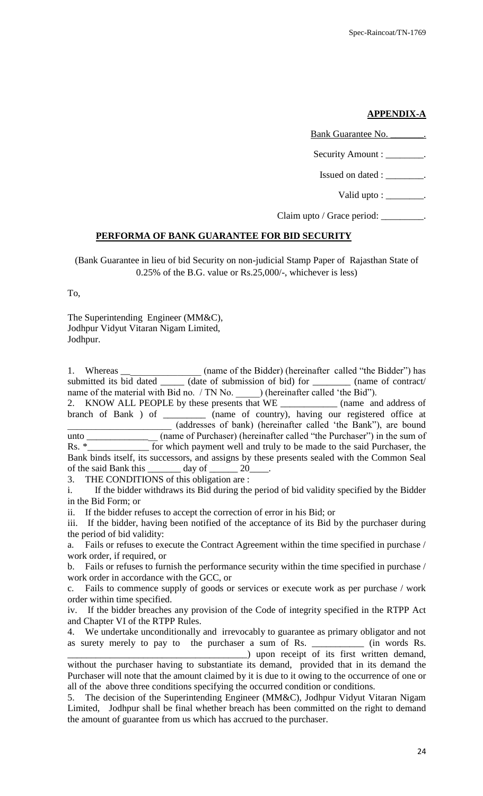# **APPENDIX-A**

Bank Guarantee No. Security Amount : \_\_\_\_\_\_\_\_. Issued on dated : \_\_\_\_\_\_\_\_\_\_\_\_\_. Valid upto : \_\_\_\_\_\_\_\_.

Claim upto / Grace period: \_\_\_\_\_\_\_\_\_.

#### **PERFORMA OF BANK GUARANTEE FOR BID SECURITY**

(Bank Guarantee in lieu of bid Security on non-judicial Stamp Paper of Rajasthan State of 0.25% of the B.G. value or Rs.25,000/-, whichever is less)

To,

The Superintending Engineer (MM&C), Jodhpur Vidyut Vitaran Nigam Limited, Jodhpur.

| 1. Whereas $\_\_$ | (name of the Bidder) (hereinafter called "the Bidder") has                                    |  |
|-------------------|-----------------------------------------------------------------------------------------------|--|
|                   | submitted its bid dated _______ (date of submission of bid) for __________ (name of contract/ |  |
|                   | name of the material with Bid no. / TN No. ) (hereinafter called 'the Bid'').                 |  |
|                   | 2. KNOW ALL PEOPLE by these presents that WE ______________ (name and address of              |  |
|                   | branch of Bank ) of _________ (name of country), having our registered office at              |  |
|                   | (addresses of bank) (hereinafter called 'the Bank''), are bound                               |  |

unto \_\_\_\_\_\_\_\_\_\_\_\_\_\_\_ (name of Purchaser) (hereinafter called "the Purchaser") in the sum of Rs. \*\_\_\_\_\_\_\_\_\_\_\_\_\_\_ for which payment well and truly to be made to the said Purchaser, the Bank binds itself, its successors, and assigns by these presents sealed with the Common Seal of the said Bank this day of 20

3. THE CONDITIONS of this obligation are :

i. If the bidder withdraws its Bid during the period of bid validity specified by the Bidder in the Bid Form; or

ii. If the bidder refuses to accept the correction of error in his Bid; or

iii. If the bidder, having been notified of the acceptance of its Bid by the purchaser during the period of bid validity:

a. Fails or refuses to execute the Contract Agreement within the time specified in purchase / work order, if required, or

b. Fails or refuses to furnish the performance security within the time specified in purchase / work order in accordance with the GCC, or

c. Fails to commence supply of goods or services or execute work as per purchase / work order within time specified.

iv. If the bidder breaches any provision of the Code of integrity specified in the RTPP Act and Chapter VI of the RTPP Rules.

4. We undertake unconditionally and irrevocably to guarantee as primary obligator and not as surety merely to pay to the purchaser a sum of Rs. \_\_\_\_\_\_\_\_\_\_\_\_ (in words Rs.

\_\_\_\_\_\_\_\_\_\_\_\_\_\_\_\_\_\_\_\_\_\_\_\_\_\_\_\_\_\_\_\_\_\_\_\_\_\_) upon receipt of its first written demand, without the purchaser having to substantiate its demand, provided that in its demand the Purchaser will note that the amount claimed by it is due to it owing to the occurrence of one or all of the above three conditions specifying the occurred condition or conditions.

<sup>5.</sup> The decision of the Superintending Engineer (MM&C), Jodhpur Vidyut Vitaran Nigam Limited, Jodhpur shall be final whether breach has been committed on the right to demand the amount of guarantee from us which has accrued to the purchaser.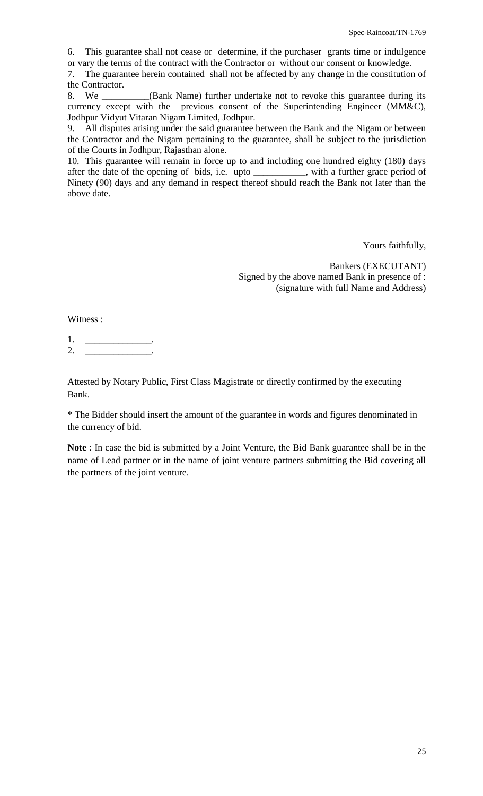6. This guarantee shall not cease or determine, if the purchaser grants time or indulgence or vary the terms of the contract with the Contractor or without our consent or knowledge.

7. The guarantee herein contained shall not be affected by any change in the constitution of the Contractor.

8. We \_\_\_\_\_\_\_\_\_\_(Bank Name) further undertake not to revoke this guarantee during its currency except with the previous consent of the Superintending Engineer (MM&C), Jodhpur Vidyut Vitaran Nigam Limited, Jodhpur.

9. All disputes arising under the said guarantee between the Bank and the Nigam or between the Contractor and the Nigam pertaining to the guarantee, shall be subject to the jurisdiction of the Courts in Jodhpur, Rajasthan alone.

10. This guarantee will remain in force up to and including one hundred eighty (180) days after the date of the opening of bids, i.e. upto \_\_\_\_\_\_\_\_\_\_\_, with a further grace period of Ninety (90) days and any demand in respect thereof should reach the Bank not later than the above date.

Yours faithfully,

Bankers (EXECUTANT) Signed by the above named Bank in presence of : (signature with full Name and Address)

Witness :

1. \_\_\_\_\_\_\_\_\_\_\_\_\_\_\_\_\_\_\_\_\_\_. 2. \_\_\_\_\_\_\_\_\_\_\_\_\_\_\_\_.

Attested by Notary Public, First Class Magistrate or directly confirmed by the executing Bank.

\* The Bidder should insert the amount of the guarantee in words and figures denominated in the currency of bid.

**Note** : In case the bid is submitted by a Joint Venture, the Bid Bank guarantee shall be in the name of Lead partner or in the name of joint venture partners submitting the Bid covering all the partners of the joint venture.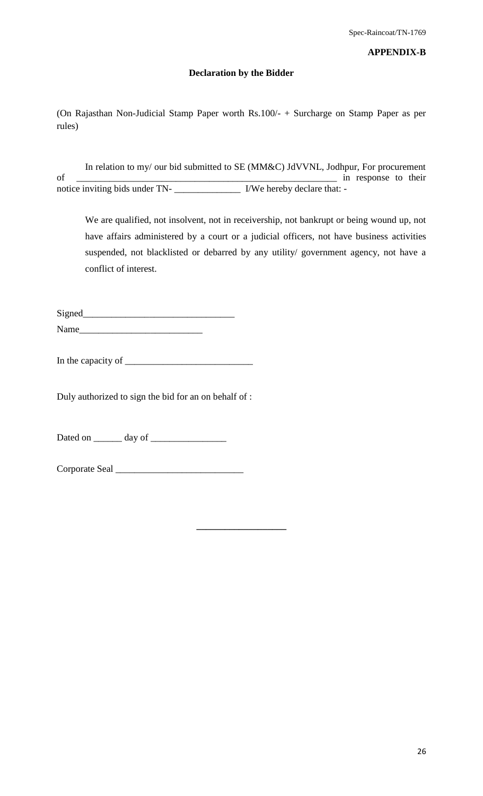#### **APPENDIX-B**

#### **Declaration by the Bidder**

(On Rajasthan Non-Judicial Stamp Paper worth Rs.100/- + Surcharge on Stamp Paper as per rules)

In relation to my/ our bid submitted to SE (MM&C) JdVVNL, Jodhpur, For procurement of \_\_\_\_\_\_\_\_\_\_\_\_\_\_\_\_\_\_\_\_\_\_\_\_\_\_\_\_\_\_\_\_\_\_\_\_\_\_\_\_\_\_\_\_\_\_\_\_\_\_\_\_\_\_\_ in response to their notice inviting bids under TN- \_\_\_\_\_\_\_\_\_\_\_\_\_\_ I/We hereby declare that: -

**\_\_\_\_\_\_\_\_\_\_\_\_\_\_\_\_\_\_\_**

We are qualified, not insolvent, not in receivership, not bankrupt or being wound up, not have affairs administered by a court or a judicial officers, not have business activities suspended, not blacklisted or debarred by any utility/ government agency, not have a conflict of interest.

Signed\_\_\_\_\_\_\_\_\_\_\_\_\_\_\_\_\_\_\_\_\_\_\_\_\_\_\_\_\_\_\_\_ Name

In the capacity of

Duly authorized to sign the bid for an on behalf of :

Dated on \_\_\_\_\_\_ day of \_\_\_\_\_\_\_\_\_\_\_\_\_\_\_\_

Corporate Seal \_\_\_\_\_\_\_\_\_\_\_\_\_\_\_\_\_\_\_\_\_\_\_\_\_\_\_